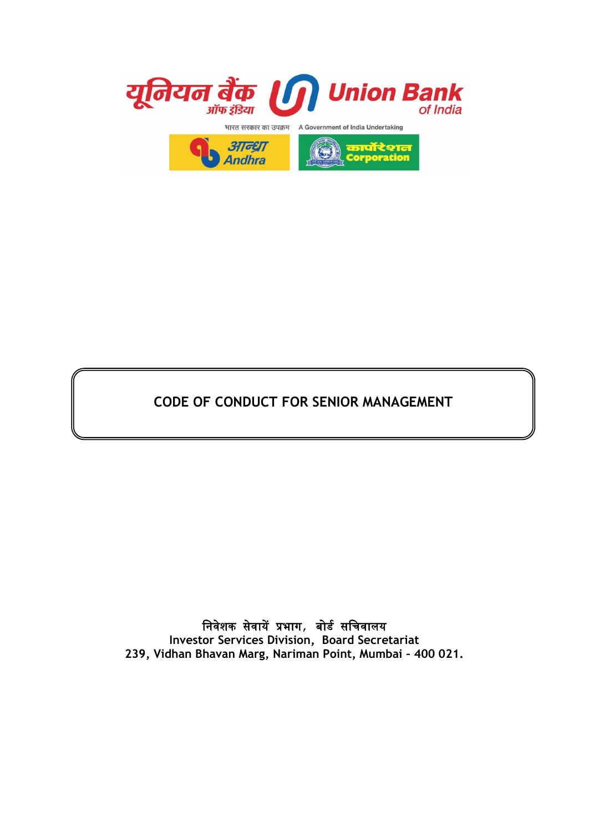

# **CODE OF CONDUCT FOR SENIOR MANAGEMENT**

निवेशक सेवायेंप्रभाग, बोर्ड सनिवालय **Investor Services Division, Board Secretariat 239, Vidhan Bhavan Marg, Nariman Point, Mumbai – 400 021.**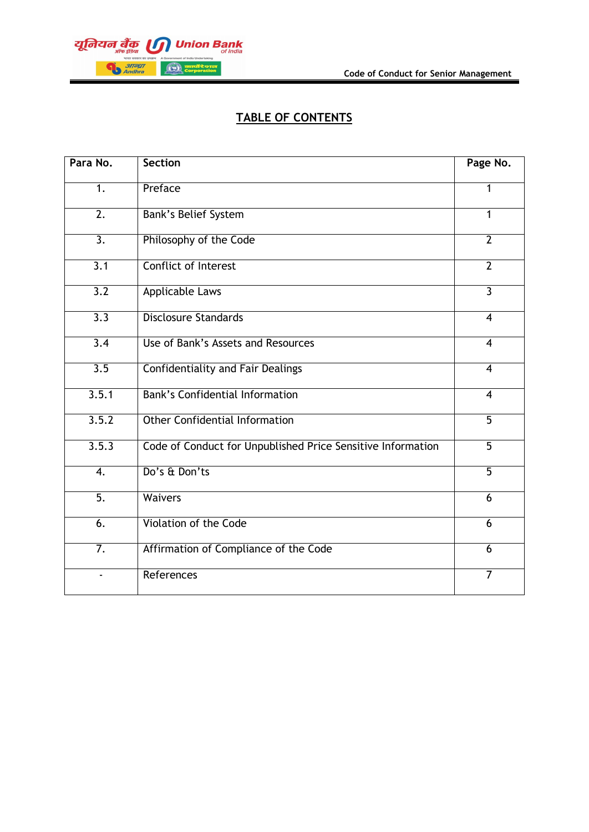

## **TABLE OF CONTENTS**

| Para No.         | <b>Section</b>                                              | Page No.       |
|------------------|-------------------------------------------------------------|----------------|
| 1.               | Preface                                                     | 1              |
| $\overline{2}$ . | <b>Bank's Belief System</b>                                 | 1              |
| $\overline{3}$ . | Philosophy of the Code                                      | $\overline{2}$ |
| $\overline{3.1}$ | Conflict of Interest                                        | $\overline{2}$ |
| $\overline{3.2}$ | <b>Applicable Laws</b>                                      | $\overline{3}$ |
| $\overline{3.3}$ | <b>Disclosure Standards</b>                                 | $\overline{4}$ |
| $\overline{3.4}$ | Use of Bank's Assets and Resources                          | $\overline{4}$ |
| $\overline{3.5}$ | <b>Confidentiality and Fair Dealings</b>                    | $\overline{4}$ |
| 3.5.1            | <b>Bank's Confidential Information</b>                      | $\overline{4}$ |
| 3.5.2            | <b>Other Confidential Information</b>                       | $\overline{5}$ |
| 3.5.3            | Code of Conduct for Unpublished Price Sensitive Information | $\overline{5}$ |
| $\overline{4}$ . | Do's & Don'ts                                               | $\overline{5}$ |
| $\overline{5}$ . | <b>Waivers</b>                                              | 6              |
| 6.               | Violation of the Code                                       | 6              |
| $\overline{7}$ . | Affirmation of Compliance of the Code                       | 6              |
| $\blacksquare$   | References                                                  | $\overline{7}$ |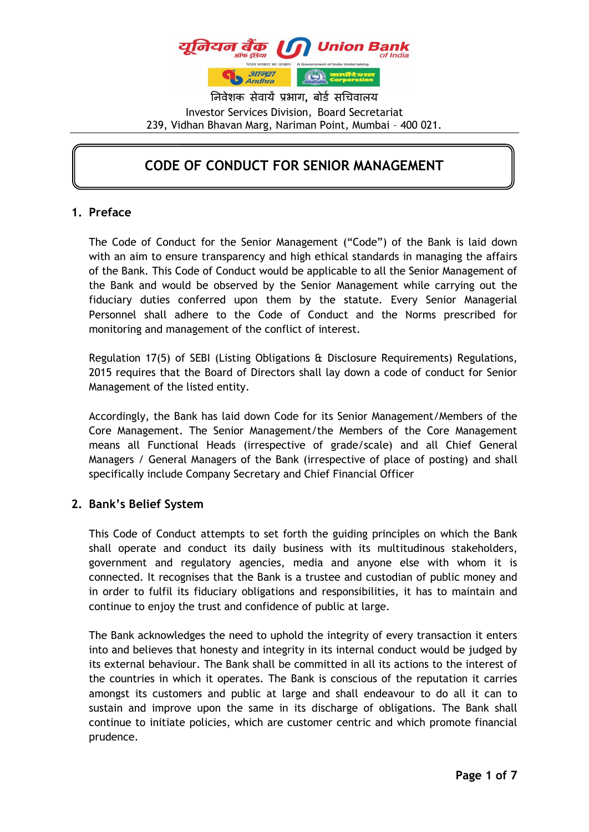

निवेशक सेवायें प्रभाग**,** बोर्ड सचिवालय Investor Services Division, Board Secretariat 239, Vidhan Bhavan Marg, Nariman Point, Mumbai – 400 021.

## **CODE OF CONDUCT FOR SENIOR MANAGEMENT**

#### **1. Preface**

The Code of Conduct for the Senior Management ("Code") of the Bank is laid down with an aim to ensure transparency and high ethical standards in managing the affairs of the Bank. This Code of Conduct would be applicable to all the Senior Management of the Bank and would be observed by the Senior Management while carrying out the fiduciary duties conferred upon them by the statute. Every Senior Managerial Personnel shall adhere to the Code of Conduct and the Norms prescribed for monitoring and management of the conflict of interest.

Regulation 17(5) of SEBI (Listing Obligations & Disclosure Requirements) Regulations, 2015 requires that the Board of Directors shall lay down a code of conduct for Senior Management of the listed entity.

Accordingly, the Bank has laid down Code for its Senior Management/Members of the Core Management. The Senior Management/the Members of the Core Management means all Functional Heads (irrespective of grade/scale) and all Chief General Managers / General Managers of the Bank (irrespective of place of posting) and shall specifically include Company Secretary and Chief Financial Officer

#### **2. Bank's Belief System**

This Code of Conduct attempts to set forth the guiding principles on which the Bank shall operate and conduct its daily business with its multitudinous stakeholders, government and regulatory agencies, media and anyone else with whom it is connected. It recognises that the Bank is a trustee and custodian of public money and in order to fulfil its fiduciary obligations and responsibilities, it has to maintain and continue to enjoy the trust and confidence of public at large.

The Bank acknowledges the need to uphold the integrity of every transaction it enters into and believes that honesty and integrity in its internal conduct would be judged by its external behaviour. The Bank shall be committed in all its actions to the interest of the countries in which it operates. The Bank is conscious of the reputation it carries amongst its customers and public at large and shall endeavour to do all it can to sustain and improve upon the same in its discharge of obligations. The Bank shall continue to initiate policies, which are customer centric and which promote financial prudence.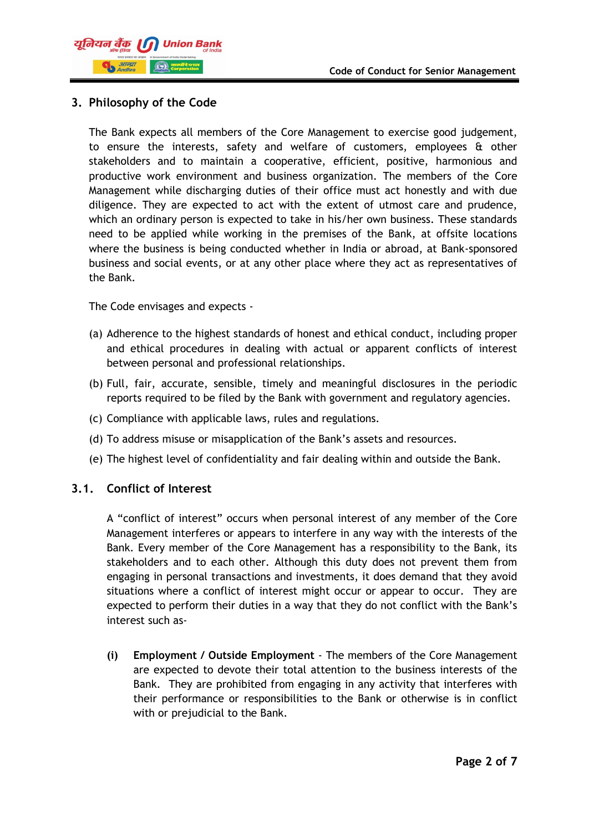

#### **3. Philosophy of the Code**

The Bank expects all members of the Core Management to exercise good judgement, to ensure the interests, safety and welfare of customers, employees & other stakeholders and to maintain a cooperative, efficient, positive, harmonious and productive work environment and business organization. The members of the Core Management while discharging duties of their office must act honestly and with due diligence. They are expected to act with the extent of utmost care and prudence, which an ordinary person is expected to take in his/her own business. These standards need to be applied while working in the premises of the Bank, at offsite locations where the business is being conducted whether in India or abroad, at Bank-sponsored business and social events, or at any other place where they act as representatives of the Bank.

The Code envisages and expects -

- (a) Adherence to the highest standards of honest and ethical conduct, including proper and ethical procedures in dealing with actual or apparent conflicts of interest between personal and professional relationships.
- (b) Full, fair, accurate, sensible, timely and meaningful disclosures in the periodic reports required to be filed by the Bank with government and regulatory agencies.
- (c) Compliance with applicable laws, rules and regulations.
- (d) To address misuse or misapplication of the Bank's assets and resources.
- (e) The highest level of confidentiality and fair dealing within and outside the Bank.

#### **3.1. Conflict of Interest**

A "conflict of interest" occurs when personal interest of any member of the Core Management interferes or appears to interfere in any way with the interests of the Bank. Every member of the Core Management has a responsibility to the Bank, its stakeholders and to each other. Although this duty does not prevent them from engaging in personal transactions and investments, it does demand that they avoid situations where a conflict of interest might occur or appear to occur. They are expected to perform their duties in a way that they do not conflict with the Bank's interest such as-

**(i) Employment / Outside Employment** - The members of the Core Management are expected to devote their total attention to the business interests of the Bank. They are prohibited from engaging in any activity that interferes with their performance or responsibilities to the Bank or otherwise is in conflict with or prejudicial to the Bank.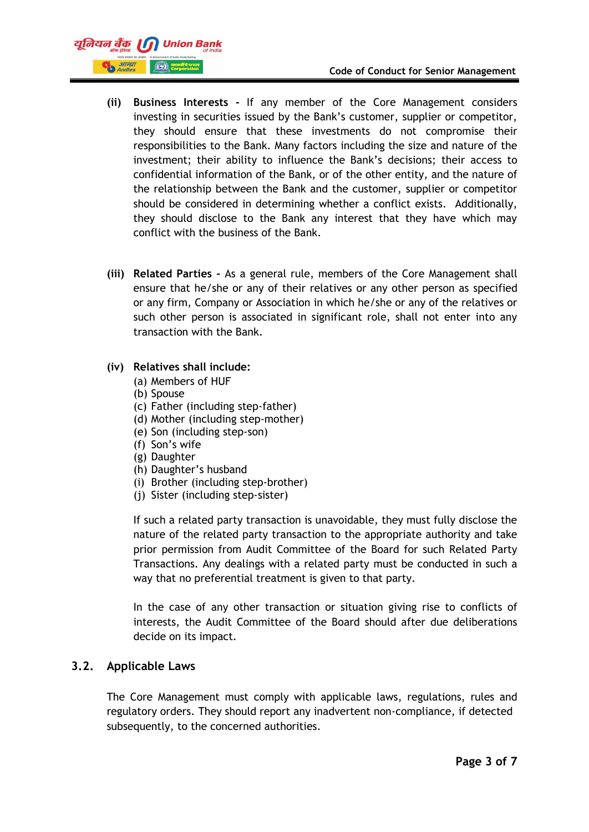

- **(ii) Business Interests -** If any member of the Core Management considers investing in securities issued by the Bank's customer, supplier or competitor, they should ensure that these investments do not compromise their responsibilities to the Bank. Many factors including the size and nature of the investment; their ability to influence the Bank's decisions; their access to confidential information of the Bank, or of the other entity, and the nature of the relationship between the Bank and the customer, supplier or competitor should be considered in determining whether a conflict exists. Additionally, they should disclose to the Bank any interest that they have which may conflict with the business of the Bank.
- **(iii) Related Parties -** As a general rule, members of the Core Management shall ensure that he/she or any of their relatives or any other person as specified or any firm, Company or Association in which he/she or any of the relatives or such other person is associated in significant role, shall not enter into any transaction with the Bank.

#### **(iv) Relatives shall include:**

- (a) Members of HUF
- (b) Spouse
- (c) Father (including step-father)
- (d) Mother (including step-mother)
- (e) Son (including step-son)
- (f) Son's wife
- (g) Daughter
- (h) Daughter's husband
- (i) Brother (including step-brother)
- (j) Sister (including step-sister)

If such a related party transaction is unavoidable, they must fully disclose the nature of the related party transaction to the appropriate authority and take prior permission from Audit Committee of the Board for such Related Party Transactions. Any dealings with a related party must be conducted in such a way that no preferential treatment is given to that party.

In the case of any other transaction or situation giving rise to conflicts of interests, the Audit Committee of the Board should after due deliberations decide on its impact.

#### **3.2. Applicable Laws**

The Core Management must comply with applicable laws, regulations, rules and regulatory orders. They should report any inadvertent non-compliance, if detected subsequently, to the concerned authorities.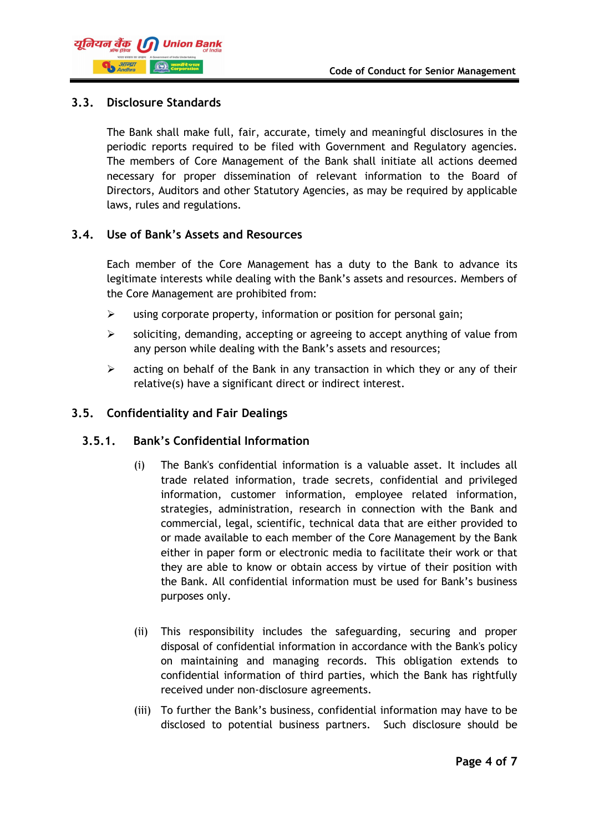

#### **3.3. Disclosure Standards**

The Bank shall make full, fair, accurate, timely and meaningful disclosures in the periodic reports required to be filed with Government and Regulatory agencies. The members of Core Management of the Bank shall initiate all actions deemed necessary for proper dissemination of relevant information to the Board of Directors, Auditors and other Statutory Agencies, as may be required by applicable laws, rules and regulations.

#### **3.4. Use of Bank's Assets and Resources**

Each member of the Core Management has a duty to the Bank to advance its legitimate interests while dealing with the Bank's assets and resources. Members of the Core Management are prohibited from:

- $\triangleright$  using corporate property, information or position for personal gain;
- $\triangleright$  soliciting, demanding, accepting or agreeing to accept anything of value from any person while dealing with the Bank's assets and resources;
- $\triangleright$  acting on behalf of the Bank in any transaction in which they or any of their relative(s) have a significant direct or indirect interest.

#### **3.5. Confidentiality and Fair Dealings**

#### **3.5.1. Bank's Confidential Information**

- (i) The Bank's confidential information is a valuable asset. It includes all trade related information, trade secrets, confidential and privileged information, customer information, employee related information, strategies, administration, research in connection with the Bank and commercial, legal, scientific, technical data that are either provided to or made available to each member of the Core Management by the Bank either in paper form or electronic media to facilitate their work or that they are able to know or obtain access by virtue of their position with the Bank. All confidential information must be used for Bank's business purposes only.
- (ii) This responsibility includes the safeguarding, securing and proper disposal of confidential information in accordance with the Bank's policy on maintaining and managing records. This obligation extends to confidential information of third parties, which the Bank has rightfully received under non-disclosure agreements.
- (iii) To further the Bank's business, confidential information may have to be disclosed to potential business partners. Such disclosure should be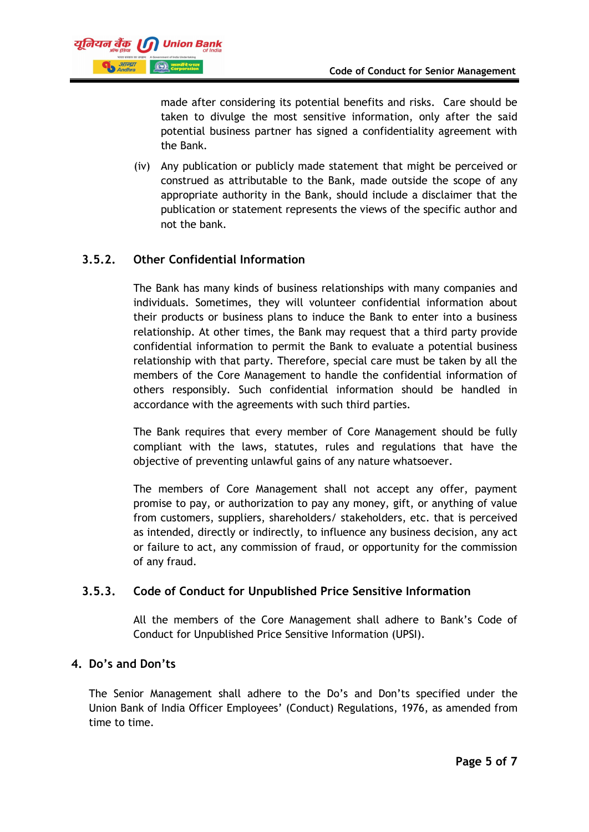

made after considering its potential benefits and risks. Care should be taken to divulge the most sensitive information, only after the said potential business partner has signed a confidentiality agreement with the Bank.

(iv) Any publication or publicly made statement that might be perceived or construed as attributable to the Bank, made outside the scope of any appropriate authority in the Bank, should include a disclaimer that the publication or statement represents the views of the specific author and not the bank.

## **3.5.2. Other Confidential Information**

The Bank has many kinds of business relationships with many companies and individuals. Sometimes, they will volunteer confidential information about their products or business plans to induce the Bank to enter into a business relationship. At other times, the Bank may request that a third party provide confidential information to permit the Bank to evaluate a potential business relationship with that party. Therefore, special care must be taken by all the members of the Core Management to handle the confidential information of others responsibly. Such confidential information should be handled in accordance with the agreements with such third parties.

The Bank requires that every member of Core Management should be fully compliant with the laws, statutes, rules and regulations that have the objective of preventing unlawful gains of any nature whatsoever.

The members of Core Management shall not accept any offer, payment promise to pay, or authorization to pay any money, gift, or anything of value from customers, suppliers, shareholders/ stakeholders, etc. that is perceived as intended, directly or indirectly, to influence any business decision, any act or failure to act, any commission of fraud, or opportunity for the commission of any fraud.

## **3.5.3. Code of Conduct for Unpublished Price Sensitive Information**

All the members of the Core Management shall adhere to Bank's Code of Conduct for Unpublished Price Sensitive Information (UPSI).

## **4. Do's and Don'ts**

The Senior Management shall adhere to the Do's and Don'ts specified under the Union Bank of India Officer Employees' (Conduct) Regulations, 1976, as amended from time to time.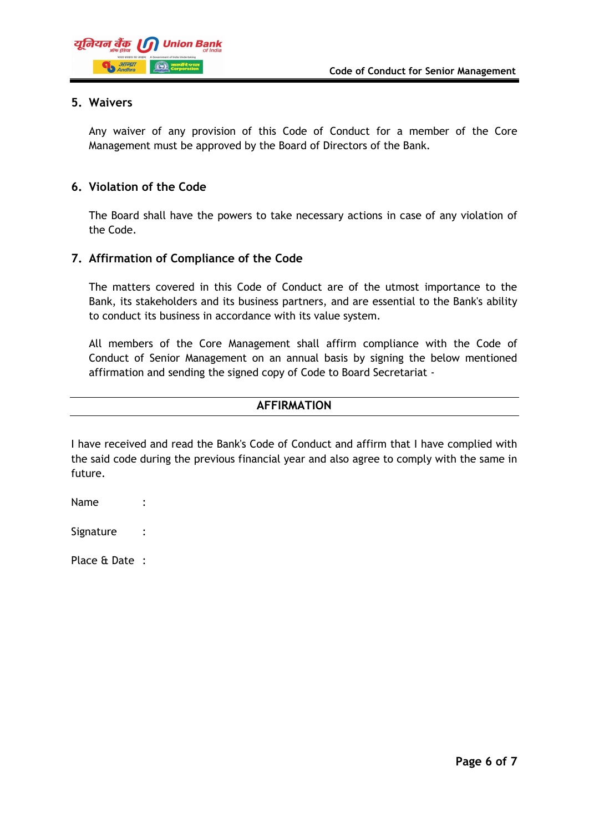

#### **5. Waivers**

Any waiver of any provision of this Code of Conduct for a member of the Core Management must be approved by the Board of Directors of the Bank.

#### **6. Violation of the Code**

The Board shall have the powers to take necessary actions in case of any violation of the Code.

#### **7. Affirmation of Compliance of the Code**

The matters covered in this Code of Conduct are of the utmost importance to the Bank, its stakeholders and its business partners, and are essential to the Bank's ability to conduct its business in accordance with its value system.

All members of the Core Management shall affirm compliance with the Code of Conduct of Senior Management on an annual basis by signing the below mentioned affirmation and sending the signed copy of Code to Board Secretariat -

#### **AFFIRMATION**

I have received and read the Bank's Code of Conduct and affirm that I have complied with the said code during the previous financial year and also agree to comply with the same in future.

Name :

Signature :

Place & Date :